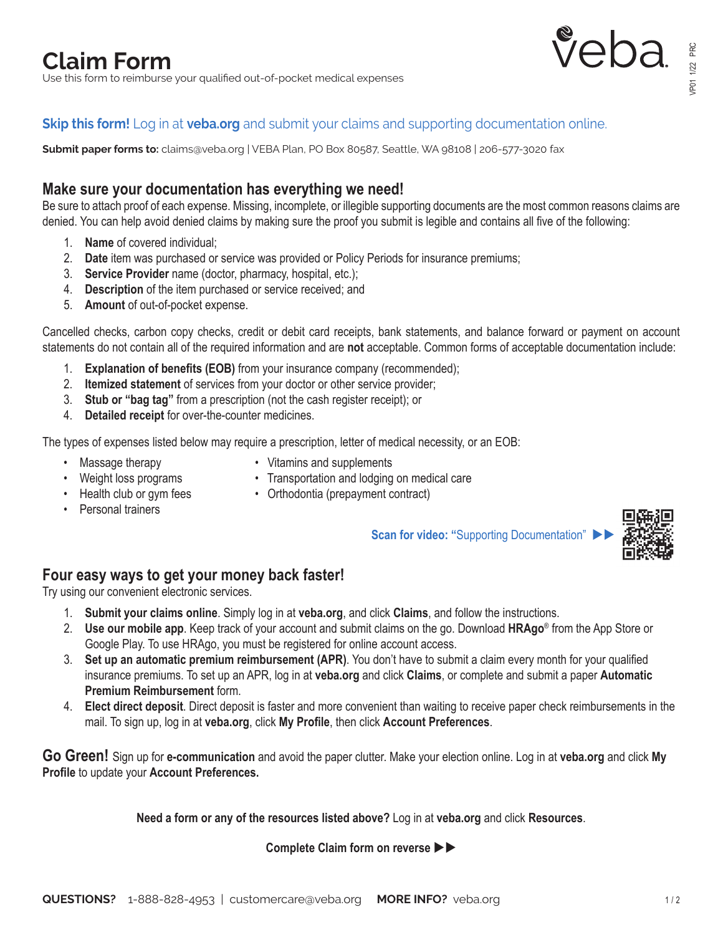# **Claim Form**

Use this form to reimburse your qualified out-of-pocket medical expenses



# **Skip this form!** Log in at **veba.org** and submit your claims and supporting documentation online.

**Submit paper forms to:** claims@veba.org | VEBA Plan, PO Box 80587, Seattle, WA 98108 | 206-577-3020 fax

# **Make sure your documentation has everything we need!**

Be sure to attach proof of each expense. Missing, incomplete, or illegible supporting documents are the most common reasons claims are denied. You can help avoid denied claims by making sure the proof you submit is legible and contains all five of the following:

- 1. **Name** of covered individual;
- 2. **Date** item was purchased or service was provided or Policy Periods for insurance premiums;
- 3. **Service Provider** name (doctor, pharmacy, hospital, etc.);
- 4. **Description** of the item purchased or service received; and
- 5. **Amount** of out-of-pocket expense.

Cancelled checks, carbon copy checks, credit or debit card receipts, bank statements, and balance forward or payment on account statements do not contain all of the required information and are **not** acceptable. Common forms of acceptable documentation include:

- 1. **Explanation of benefits (EOB)** from your insurance company (recommended);
- 2. **Itemized statement** of services from your doctor or other service provider;
- 3. **Stub or "bag tag"** from a prescription (not the cash register receipt); or
- 4. **Detailed receipt** for over-the-counter medicines.

The types of expenses listed below may require a prescription, letter of medical necessity, or an EOB:

- 
- Massage therapy **•** Vitamins and supplements
- Weight loss programs Transportation and lodging on medical care
	-
- 
- Health club or gym fees Orthodontia (prepayment contract)
- Personal trainers

**Scan for video: "Supporting Documentation"** 



#### **Four easy ways to get your money back faster!**

Try using our convenient electronic services.

- 1. **Submit your claims online**. Simply log in at **veba.org**, and click **Claims**, and follow the instructions.
- 2. **Use our mobile app**. Keep track of your account and submit claims on the go. Download **HRAgo**® from the App Store or Google Play. To use HRAgo, you must be registered for online account access.
- 3. **Set up an automatic premium reimbursement (APR)**. You don't have to submit a claim every month for your qualified insurance premiums. To set up an APR, log in at **veba.org** and click **Claims**, or complete and submit a paper **Automatic Premium Reimbursement** form.
- 4. **Elect direct deposit**. Direct deposit is faster and more convenient than waiting to receive paper check reimbursements in the mail. To sign up, log in at **veba.org**, click **My Profile**, then click **Account Preferences**.

**Go Green!** Sign up for **e-communication** and avoid the paper clutter. Make your election online. Log in at **veba.org** and click **My Profile** to update your **Account Preferences.**

**Need a form or any of the resources listed above?** Log in at **veba.org** and click **Resources**.

**Complete Claim form on reverse**  $\blacktriangleright$